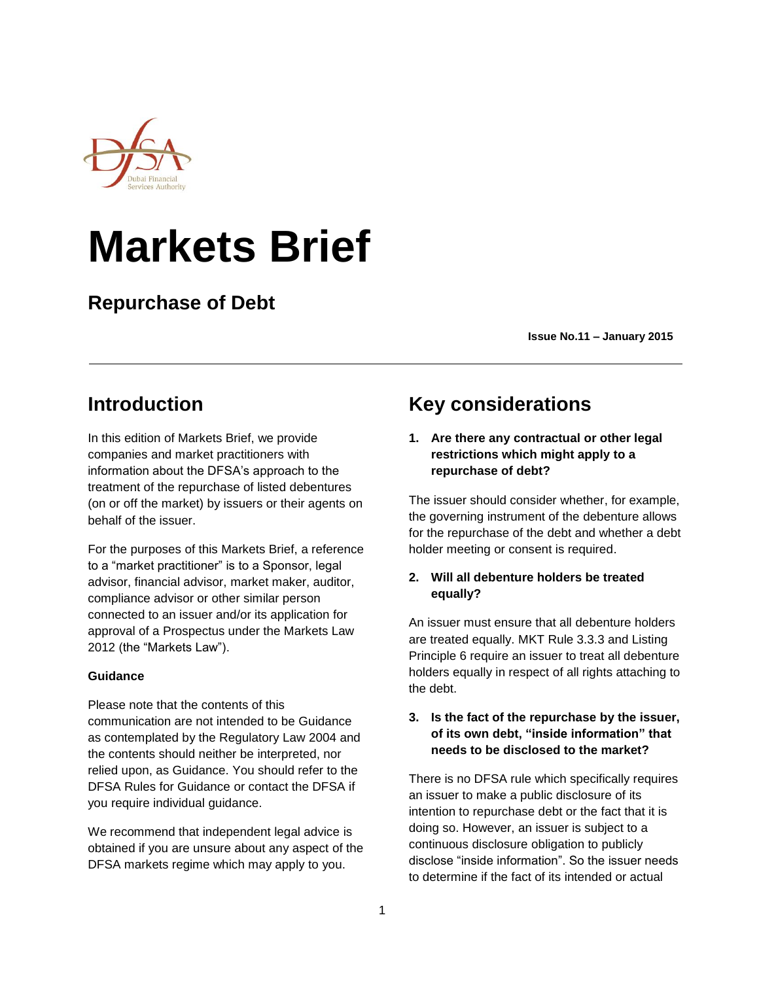

# **Markets Brief**

**Repurchase of Debt**

 **Issue No.11 – January <sup>2015</sup>**

# **Introduction**

In this edition of Markets Brief, we provide companies and market practitioners with information about the DFSA's approach to the treatment of the repurchase of listed debentures (on or off the market) by issuers or their agents on behalf of the issuer.

For the purposes of this Markets Brief, a reference to a "market practitioner" is to a Sponsor, legal advisor, financial advisor, market maker, auditor, compliance advisor or other similar person connected to an issuer and/or its application for approval of a Prospectus under the Markets Law 2012 (the "Markets Law").

## **Guidance**

Please note that the contents of this communication are not intended to be Guidance as contemplated by the Regulatory Law 2004 and the contents should neither be interpreted, nor relied upon, as Guidance. You should refer to the DFSA Rules for Guidance or contact the DFSA if you require individual guidance.

We recommend that independent legal advice is obtained if you are unsure about any aspect of the DFSA markets regime which may apply to you.

# **Key considerations**

**1. Are there any contractual or other legal restrictions which might apply to a repurchase of debt?** 

The issuer should consider whether, for example, the governing instrument of the debenture allows for the repurchase of the debt and whether a debt holder meeting or consent is required.

## **2. Will all debenture holders be treated equally?**

An issuer must ensure that all debenture holders are treated equally. MKT Rule 3.3.3 and Listing Principle 6 require an issuer to treat all debenture holders equally in respect of all rights attaching to the debt.

## **3. Is the fact of the repurchase by the issuer, of its own debt, "inside information" that needs to be disclosed to the market?**

There is no DFSA rule which specifically requires an issuer to make a public disclosure of its intention to repurchase debt or the fact that it is doing so. However, an issuer is subject to a continuous disclosure obligation to publicly disclose "inside information". So the issuer needs to determine if the fact of its intended or actual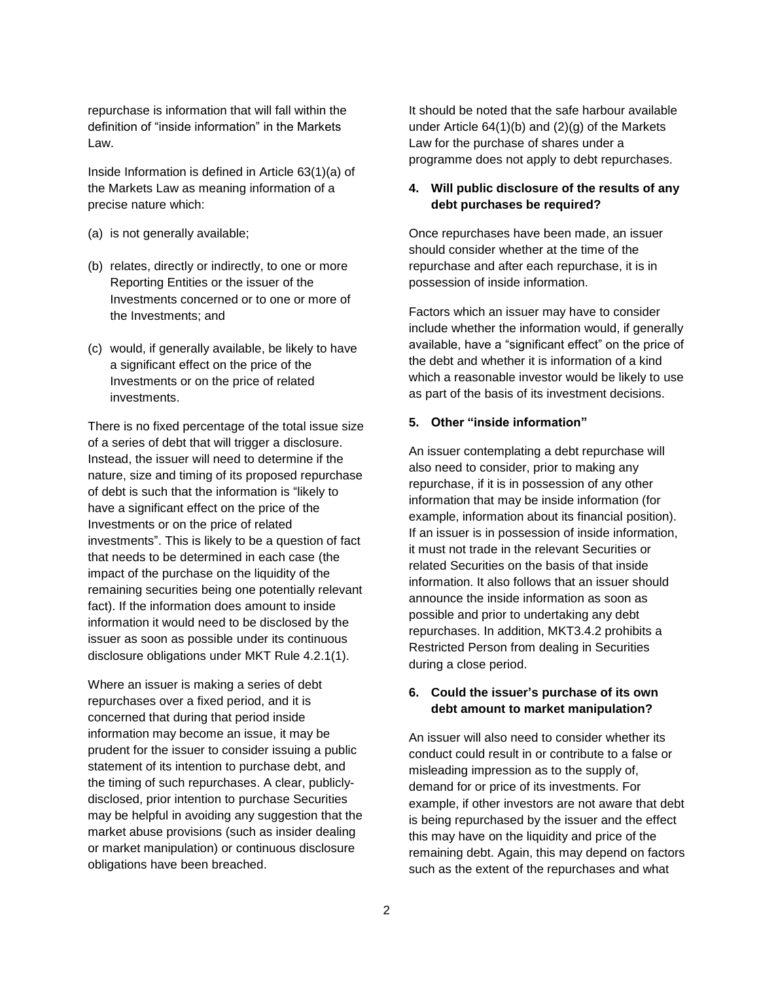repurchase is information that will fall within the definition of "inside information" in the Markets Law.

Inside Information is defined in Article 63(1)(a) of the Markets Law as meaning information of a precise nature which:

- (a) is not generally available;
- (b) relates, directly or indirectly, to one or more Reporting Entities or the issuer of the Investments concerned or to one or more of the Investments; and
- (c) would, if generally available, be likely to have a significant effect on the price of the Investments or on the price of related investments.

There is no fixed percentage of the total issue size of a series of debt that will trigger a disclosure. Instead, the issuer will need to determine if the nature, size and timing of its proposed repurchase of debt is such that the information is "likely to have a significant effect on the price of the Investments or on the price of related investments". This is likely to be a question of fact that needs to be determined in each case (the impact of the purchase on the liquidity of the remaining securities being one potentially relevant fact). If the information does amount to inside information it would need to be disclosed by the issuer as soon as possible under its continuous disclosure obligations under MKT Rule 4.2.1(1).

Where an issuer is making a series of debt repurchases over a fixed period, and it is concerned that during that period inside information may become an issue, it may be prudent for the issuer to consider issuing a public statement of its intention to purchase debt, and the timing of such repurchases. A clear, publiclydisclosed, prior intention to purchase Securities may be helpful in avoiding any suggestion that the market abuse provisions (such as insider dealing or market manipulation) or continuous disclosure obligations have been breached.

It should be noted that the safe harbour available under Article 64(1)(b) and (2)(g) of the Markets Law for the purchase of shares under a programme does not apply to debt repurchases.

#### **4. Will public disclosure of the results of any debt purchases be required?**

Once repurchases have been made, an issuer should consider whether at the time of the repurchase and after each repurchase, it is in possession of inside information.

Factors which an issuer may have to consider include whether the information would, if generally available, have a "significant effect" on the price of the debt and whether it is information of a kind which a reasonable investor would be likely to use as part of the basis of its investment decisions.

#### **5. Other "inside information"**

An issuer contemplating a debt repurchase will also need to consider, prior to making any repurchase, if it is in possession of any other information that may be inside information (for example, information about its financial position). If an issuer is in possession of inside information, it must not trade in the relevant Securities or related Securities on the basis of that inside information. It also follows that an issuer should announce the inside information as soon as possible and prior to undertaking any debt repurchases. In addition, MKT3.4.2 prohibits a Restricted Person from dealing in Securities during a close period.

#### **6. Could the issuer's purchase of its own debt amount to market manipulation?**

An issuer will also need to consider whether its conduct could result in or contribute to a false or misleading impression as to the supply of, demand for or price of its investments. For example, if other investors are not aware that debt is being repurchased by the issuer and the effect this may have on the liquidity and price of the remaining debt. Again, this may depend on factors such as the extent of the repurchases and what